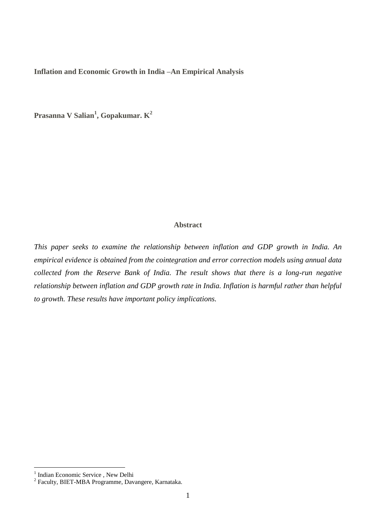**Inflation and Economic Growth in India –An Empirical Analysis**

**Prasanna V Salian<sup>1</sup> , Gopakumar. K<sup>2</sup>**

## **Abstract**

*This paper seeks to examine the relationship between inflation and GDP growth in India. An empirical evidence is obtained from the cointegration and error correction models using annual data collected from the Reserve Bank of India. The result shows that there is a long-run negative relationship between inflation and GDP growth rate in India. Inflation is harmful rather than helpful to growth. These results have important policy implications.*

 1 Indian Economic Service , New Delhi 2 Faculty, BIET-MBA Programme, Davangere, Karnataka.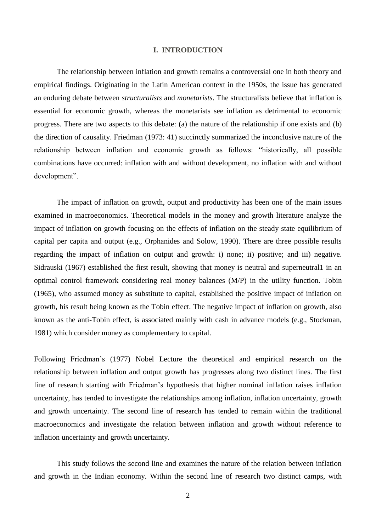## **I. INTRODUCTION**

The relationship between inflation and growth remains a controversial one in both theory and empirical findings. Originating in the Latin American context in the 1950s, the issue has generated an enduring debate between *structuralists* and *monetarists*. The structuralists believe that inflation is essential for economic growth, whereas the monetarists see inflation as detrimental to economic progress. There are two aspects to this debate: (a) the nature of the relationship if one exists and (b) the direction of causality. Friedman (1973: 41) succinctly summarized the inconclusive nature of the relationship between inflation and economic growth as follows: "historically, all possible combinations have occurred: inflation with and without development, no inflation with and without development".

The impact of inflation on growth, output and productivity has been one of the main issues examined in macroeconomics. Theoretical models in the money and growth literature analyze the impact of inflation on growth focusing on the effects of inflation on the steady state equilibrium of capital per capita and output (e.g., Orphanides and Solow, 1990). There are three possible results regarding the impact of inflation on output and growth: i) none; ii) positive; and iii) negative. Sidrauski (1967) established the first result, showing that money is neutral and superneutral1 in an optimal control framework considering real money balances (M/P) in the utility function. Tobin (1965), who assumed money as substitute to capital, established the positive impact of inflation on growth, his result being known as the Tobin effect. The negative impact of inflation on growth, also known as the anti-Tobin effect, is associated mainly with cash in advance models (e.g., Stockman, 1981) which consider money as complementary to capital.

Following Friedman's (1977) Nobel Lecture the theoretical and empirical research on the relationship between inflation and output growth has progresses along two distinct lines. The first line of research starting with Friedman's hypothesis that higher nominal inflation raises inflation uncertainty, has tended to investigate the relationships among inflation, inflation uncertainty, growth and growth uncertainty. The second line of research has tended to remain within the traditional macroeconomics and investigate the relation between inflation and growth without reference to inflation uncertainty and growth uncertainty.

This study follows the second line and examines the nature of the relation between inflation and growth in the Indian economy. Within the second line of research two distinct camps, with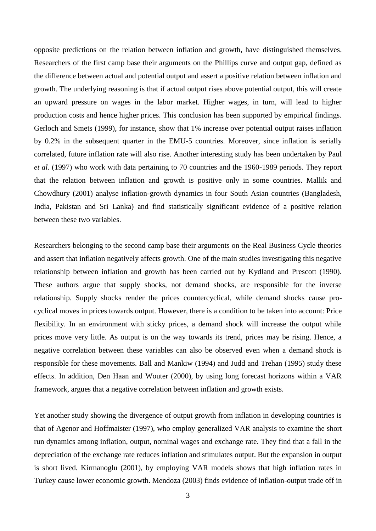opposite predictions on the relation between inflation and growth, have distinguished themselves. Researchers of the first camp base their arguments on the Phillips curve and output gap, defined as the difference between actual and potential output and assert a positive relation between inflation and growth. The underlying reasoning is that if actual output rises above potential output, this will create an upward pressure on wages in the labor market. Higher wages, in turn, will lead to higher production costs and hence higher prices. This conclusion has been supported by empirical findings. Gerloch and Smets (1999), for instance, show that 1% increase over potential output raises inflation by 0.2% in the subsequent quarter in the EMU-5 countries. Moreover, since inflation is serially correlated, future inflation rate will also rise. Another interesting study has been undertaken by Paul *et al*. (1997) who work with data pertaining to 70 countries and the 1960-1989 periods. They report that the relation between inflation and growth is positive only in some countries. Mallik and Chowdhury (2001) analyse inflation-growth dynamics in four South Asian countries (Bangladesh, India, Pakistan and Sri Lanka) and find statistically significant evidence of a positive relation between these two variables.

Researchers belonging to the second camp base their arguments on the Real Business Cycle theories and assert that inflation negatively affects growth. One of the main studies investigating this negative relationship between inflation and growth has been carried out by Kydland and Prescott (1990). These authors argue that supply shocks, not demand shocks, are responsible for the inverse relationship. Supply shocks render the prices countercyclical, while demand shocks cause procyclical moves in prices towards output. However, there is a condition to be taken into account: Price flexibility. In an environment with sticky prices, a demand shock will increase the output while prices move very little. As output is on the way towards its trend, prices may be rising. Hence, a negative correlation between these variables can also be observed even when a demand shock is responsible for these movements. Ball and Mankiw (1994) and Judd and Trehan (1995) study these effects. In addition, Den Haan and Wouter (2000), by using long forecast horizons within a VAR framework, argues that a negative correlation between inflation and growth exists.

Yet another study showing the divergence of output growth from inflation in developing countries is that of Agenor and Hoffmaister (1997), who employ generalized VAR analysis to examine the short run dynamics among inflation, output, nominal wages and exchange rate. They find that a fall in the depreciation of the exchange rate reduces inflation and stimulates output. But the expansion in output is short lived. Kirmanoglu (2001), by employing VAR models shows that high inflation rates in Turkey cause lower economic growth. Mendoza (2003) finds evidence of inflation-output trade off in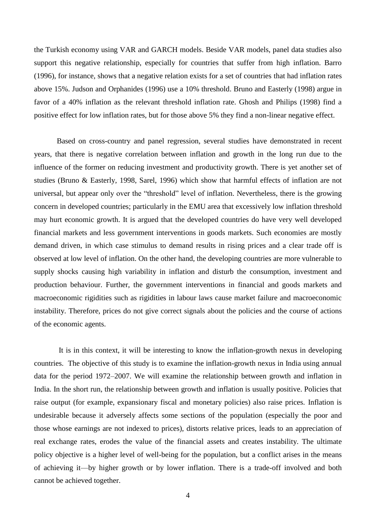the Turkish economy using VAR and GARCH models. Beside VAR models, panel data studies also support this negative relationship, especially for countries that suffer from high inflation. Barro (1996), for instance, shows that a negative relation exists for a set of countries that had inflation rates above 15%. Judson and Orphanides (1996) use a 10% threshold. Bruno and Easterly (1998) argue in favor of a 40% inflation as the relevant threshold inflation rate. Ghosh and Philips (1998) find a positive effect for low inflation rates, but for those above 5% they find a non-linear negative effect.

Based on cross-country and panel regression, several studies have demonstrated in recent years, that there is negative correlation between inflation and growth in the long run due to the influence of the former on reducing investment and productivity growth. There is yet another set of studies (Bruno & Easterly, 1998, Sarel, 1996) which show that harmful effects of inflation are not universal, but appear only over the "threshold" level of inflation. Nevertheless, there is the growing concern in developed countries; particularly in the EMU area that excessively low inflation threshold may hurt economic growth. It is argued that the developed countries do have very well developed financial markets and less government interventions in goods markets. Such economies are mostly demand driven, in which case stimulus to demand results in rising prices and a clear trade off is observed at low level of inflation. On the other hand, the developing countries are more vulnerable to supply shocks causing high variability in inflation and disturb the consumption, investment and production behaviour. Further, the government interventions in financial and goods markets and macroeconomic rigidities such as rigidities in labour laws cause market failure and macroeconomic instability. Therefore, prices do not give correct signals about the policies and the course of actions of the economic agents.

It is in this context, it will be interesting to know the inflation-growth nexus in developing countries. The objective of this study is to examine the inflation-growth nexus in India using annual data for the period 1972–2007. We will examine the relationship between growth and inflation in India. In the short run, the relationship between growth and inflation is usually positive. Policies that raise output (for example, expansionary fiscal and monetary policies) also raise prices. Inflation is undesirable because it adversely affects some sections of the population (especially the poor and those whose earnings are not indexed to prices), distorts relative prices, leads to an appreciation of real exchange rates, erodes the value of the financial assets and creates instability. The ultimate policy objective is a higher level of well-being for the population, but a conflict arises in the means of achieving it—by higher growth or by lower inflation. There is a trade-off involved and both cannot be achieved together.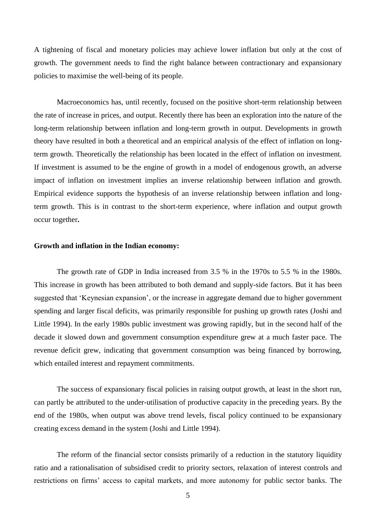A tightening of fiscal and monetary policies may achieve lower inflation but only at the cost of growth. The government needs to find the right balance between contractionary and expansionary policies to maximise the well-being of its people.

Macroeconomics has, until recently, focused on the positive short-term relationship between the rate of increase in prices, and output. Recently there has been an exploration into the nature of the long-term relationship between inflation and long-term growth in output. Developments in growth theory have resulted in both a theoretical and an empirical analysis of the effect of inflation on longterm growth. Theoretically the relationship has been located in the effect of inflation on investment. If investment is assumed to be the engine of growth in a model of endogenous growth, an adverse impact of inflation on investment implies an inverse relationship between inflation and growth. Empirical evidence supports the hypothesis of an inverse relationship between inflation and longterm growth. This is in contrast to the short-term experience, where inflation and output growth occur together**.**

#### **Growth and inflation in the Indian economy:**

The growth rate of GDP in India increased from 3.5 % in the 1970s to 5.5 % in the 1980s. This increase in growth has been attributed to both demand and supply-side factors. But it has been suggested that 'Keynesian expansion', or the increase in aggregate demand due to higher government spending and larger fiscal deficits, was primarily responsible for pushing up growth rates (Joshi and Little 1994). In the early 1980s public investment was growing rapidly, but in the second half of the decade it slowed down and government consumption expenditure grew at a much faster pace. The revenue deficit grew, indicating that government consumption was being financed by borrowing, which entailed interest and repayment commitments.

The success of expansionary fiscal policies in raising output growth, at least in the short run, can partly be attributed to the under-utilisation of productive capacity in the preceding years. By the end of the 1980s, when output was above trend levels, fiscal policy continued to be expansionary creating excess demand in the system (Joshi and Little 1994).

The reform of the financial sector consists primarily of a reduction in the statutory liquidity ratio and a rationalisation of subsidised credit to priority sectors, relaxation of interest controls and restrictions on firms' access to capital markets, and more autonomy for public sector banks. The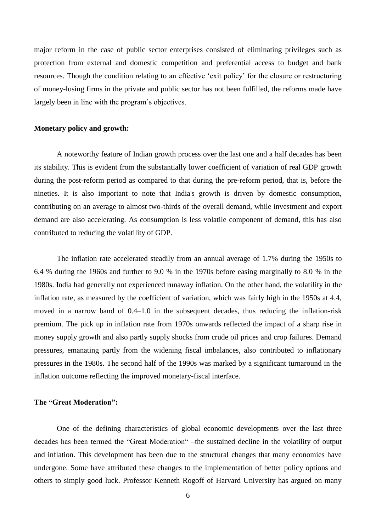major reform in the case of public sector enterprises consisted of eliminating privileges such as protection from external and domestic competition and preferential access to budget and bank resources. Though the condition relating to an effective 'exit policy' for the closure or restructuring of money-losing firms in the private and public sector has not been fulfilled, the reforms made have largely been in line with the program's objectives.

## **Monetary policy and growth:**

A noteworthy feature of Indian growth process over the last one and a half decades has been its stability. This is evident from the substantially lower coefficient of variation of real GDP growth during the post-reform period as compared to that during the pre-reform period, that is, before the nineties. It is also important to note that India's growth is driven by domestic consumption, contributing on an average to almost two-thirds of the overall demand, while investment and export demand are also accelerating. As consumption is less volatile component of demand, this has also contributed to reducing the volatility of GDP.

The inflation rate accelerated steadily from an annual average of 1.7% during the 1950s to 6.4 % during the 1960s and further to 9.0 % in the 1970s before easing marginally to 8.0 % in the 1980s. India had generally not experienced runaway inflation. On the other hand, the volatility in the inflation rate, as measured by the coefficient of variation, which was fairly high in the 1950s at 4.4, moved in a narrow band of 0.4–1.0 in the subsequent decades, thus reducing the inflation-risk premium. The pick up in inflation rate from 1970s onwards reflected the impact of a sharp rise in money supply growth and also partly supply shocks from crude oil prices and crop failures. Demand pressures, emanating partly from the widening fiscal imbalances, also contributed to inflationary pressures in the 1980s. The second half of the 1990s was marked by a significant turnaround in the inflation outcome reflecting the improved monetary-fiscal interface.

#### **The "Great Moderation":**

One of the defining characteristics of global economic developments over the last three decades has been termed the "Great Moderation" –the sustained decline in the volatility of output and inflation. This development has been due to the structural changes that many economies have undergone. Some have attributed these changes to the implementation of better policy options and others to simply good luck. Professor Kenneth Rogoff of Harvard University has argued on many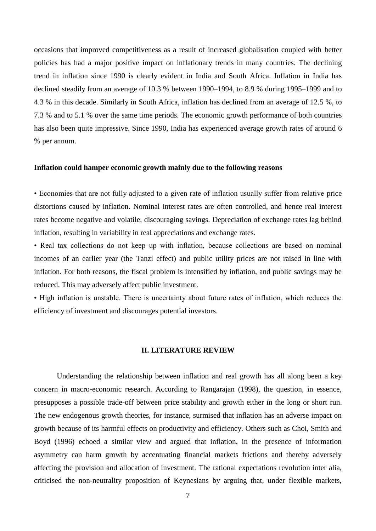occasions that improved competitiveness as a result of increased globalisation coupled with better policies has had a major positive impact on inflationary trends in many countries. The declining trend in inflation since 1990 is clearly evident in India and South Africa. Inflation in India has declined steadily from an average of 10.3 % between 1990–1994, to 8.9 % during 1995–1999 and to 4.3 % in this decade. Similarly in South Africa, inflation has declined from an average of 12.5 %, to 7.3 % and to 5.1 % over the same time periods. The economic growth performance of both countries has also been quite impressive. Since 1990, India has experienced average growth rates of around 6 % per annum.

## **Inflation could hamper economic growth mainly due to the following reasons**

• Economies that are not fully adjusted to a given rate of inflation usually suffer from relative price distortions caused by inflation. Nominal interest rates are often controlled, and hence real interest rates become negative and volatile, discouraging savings. Depreciation of exchange rates lag behind inflation, resulting in variability in real appreciations and exchange rates.

• Real tax collections do not keep up with inflation, because collections are based on nominal incomes of an earlier year (the Tanzi effect) and public utility prices are not raised in line with inflation. For both reasons, the fiscal problem is intensified by inflation, and public savings may be reduced. This may adversely affect public investment.

• High inflation is unstable. There is uncertainty about future rates of inflation, which reduces the efficiency of investment and discourages potential investors.

## **II. LITERATURE REVIEW**

Understanding the relationship between inflation and real growth has all along been a key concern in macro-economic research. According to Rangarajan (1998), the question, in essence, presupposes a possible trade-off between price stability and growth either in the long or short run. The new endogenous growth theories, for instance, surmised that inflation has an adverse impact on growth because of its harmful effects on productivity and efficiency. Others such as Choi, Smith and Boyd (1996) echoed a similar view and argued that inflation, in the presence of information asymmetry can harm growth by accentuating financial markets frictions and thereby adversely affecting the provision and allocation of investment. The rational expectations revolution inter alia, criticised the non-neutrality proposition of Keynesians by arguing that, under flexible markets,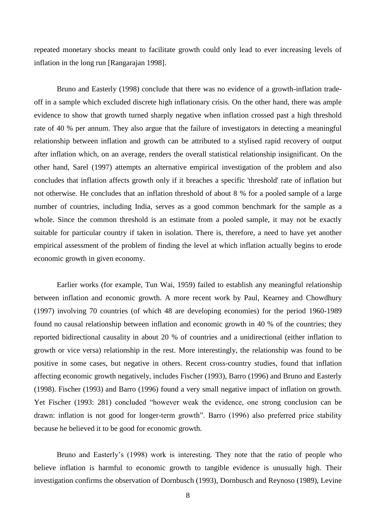repeated monetary shocks meant to facilitate growth could only lead to ever increasing levels of inflation in the long run [Rangarajan 1998].

Bruno and Easterly (1998) conclude that there was no evidence of a growth-inflation tradeoff in a sample which excluded discrete high inflationary crisis. On the other hand, there was ample evidence to show that growth turned sharply negative when inflation crossed past a high threshold rate of 40 % per annum. They also argue that the failure of investigators in detecting a meaningful relationship between inflation and growth can be attributed to a stylised rapid recovery of output after inflation which, on an average, renders the overall statistical relationship insignificant. On the other hand, Sarel (1997) attempts an alternative empirical investigation of the problem and also concludes that inflation affects growth only if it breaches a specific 'threshold' rate of inflation but not otherwise. He concludes that an inflation threshold of about 8 % for a pooled sample of a large number of countries, including India, serves as a good common benchmark for the sample as a whole. Since the common threshold is an estimate from a pooled sample, it may not be exactly suitable for particular country if taken in isolation. There is, therefore, a need to have yet another empirical assessment of the problem of finding the level at which inflation actually begins to erode economic growth in given economy.

Earlier works (for example, Tun Wai, 1959) failed to establish any meaningful relationship between inflation and economic growth. A more recent work by Paul, Kearney and Chowdhury (1997) involving 70 countries (of which 48 are developing economies) for the period 1960-1989 found no causal relationship between inflation and economic growth in 40 % of the countries; they reported bidirectional causality in about 20 % of countries and a unidirectional (either inflation to growth or vice versa) relationship in the rest. More interestingly, the relationship was found to be positive in some cases, but negative in others. Recent cross-country studies, found that inflation affecting economic growth negatively, includes Fischer (1993), Barro (1996) and Bruno and Easterly (1998). Fischer (1993) and Barro (1996) found a very small negative impact of inflation on growth. Yet Fischer (1993: 281) concluded "however weak the evidence, one strong conclusion can be drawn: inflation is not good for longer-term growth". Barro (1996) also preferred price stability because he believed it to be good for economic growth.

Bruno and Easterly's (1998) work is interesting. They note that the ratio of people who believe inflation is harmful to economic growth to tangible evidence is unusually high. Their investigation confirms the observation of Dornbusch (1993), Dornbusch and Reynoso (1989), Levine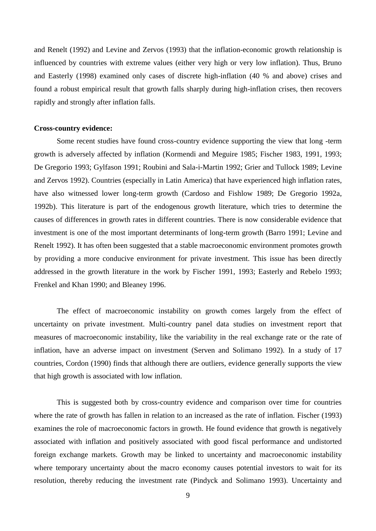and Renelt (1992) and Levine and Zervos (1993) that the inflation-economic growth relationship is influenced by countries with extreme values (either very high or very low inflation). Thus, Bruno and Easterly (1998) examined only cases of discrete high-inflation (40 % and above) crises and found a robust empirical result that growth falls sharply during high-inflation crises, then recovers rapidly and strongly after inflation falls.

## **Cross-country evidence:**

Some recent studies have found cross-country evidence supporting the view that long -term growth is adversely affected by inflation (Kormendi and Meguire 1985; Fischer 1983, 1991, 1993; De Gregorio 1993; Gylfason 1991; Roubini and Sala-i-Martin 1992; Grier and Tullock 1989; Levine and Zervos 1992). Countries (especially in Latin America) that have experienced high inflation rates, have also witnessed lower long-term growth (Cardoso and Fishlow 1989; De Gregorio 1992a, 1992b). This literature is part of the endogenous growth literature, which tries to determine the causes of differences in growth rates in different countries. There is now considerable evidence that investment is one of the most important determinants of long-term growth (Barro 1991; Levine and Renelt 1992). It has often been suggested that a stable macroeconomic environment promotes growth by providing a more conducive environment for private investment. This issue has been directly addressed in the growth literature in the work by Fischer 1991, 1993; Easterly and Rebelo 1993; Frenkel and Khan 1990; and Bleaney 1996.

The effect of macroeconomic instability on growth comes largely from the effect of uncertainty on private investment. Multi-country panel data studies on investment report that measures of macroeconomic instability, like the variability in the real exchange rate or the rate of inflation, have an adverse impact on investment (Serven and Solimano 1992). In a study of 17 countries, Cordon (1990) finds that although there are outliers, evidence generally supports the view that high growth is associated with low inflation.

This is suggested both by cross-country evidence and comparison over time for countries where the rate of growth has fallen in relation to an increased as the rate of inflation. Fischer (1993) examines the role of macroeconomic factors in growth. He found evidence that growth is negatively associated with inflation and positively associated with good fiscal performance and undistorted foreign exchange markets. Growth may be linked to uncertainty and macroeconomic instability where temporary uncertainty about the macro economy causes potential investors to wait for its resolution, thereby reducing the investment rate (Pindyck and Solimano 1993). Uncertainty and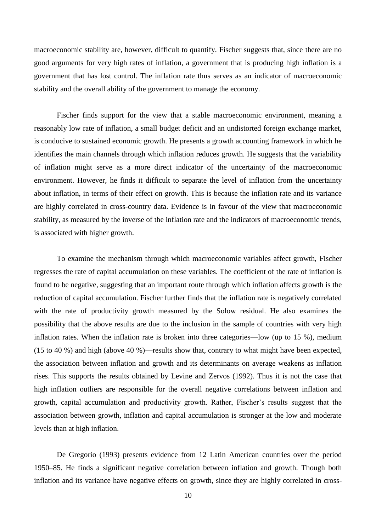macroeconomic stability are, however, difficult to quantify. Fischer suggests that, since there are no good arguments for very high rates of inflation, a government that is producing high inflation is a government that has lost control. The inflation rate thus serves as an indicator of macroeconomic stability and the overall ability of the government to manage the economy.

Fischer finds support for the view that a stable macroeconomic environment, meaning a reasonably low rate of inflation, a small budget deficit and an undistorted foreign exchange market, is conducive to sustained economic growth. He presents a growth accounting framework in which he identifies the main channels through which inflation reduces growth. He suggests that the variability of inflation might serve as a more direct indicator of the uncertainty of the macroeconomic environment. However, he finds it difficult to separate the level of inflation from the uncertainty about inflation, in terms of their effect on growth. This is because the inflation rate and its variance are highly correlated in cross-country data. Evidence is in favour of the view that macroeconomic stability, as measured by the inverse of the inflation rate and the indicators of macroeconomic trends, is associated with higher growth.

To examine the mechanism through which macroeconomic variables affect growth, Fischer regresses the rate of capital accumulation on these variables. The coefficient of the rate of inflation is found to be negative, suggesting that an important route through which inflation affects growth is the reduction of capital accumulation. Fischer further finds that the inflation rate is negatively correlated with the rate of productivity growth measured by the Solow residual. He also examines the possibility that the above results are due to the inclusion in the sample of countries with very high inflation rates. When the inflation rate is broken into three categories—low (up to 15 %), medium (15 to 40 %) and high (above 40 %)—results show that, contrary to what might have been expected, the association between inflation and growth and its determinants on average weakens as inflation rises. This supports the results obtained by Levine and Zervos (1992). Thus it is not the case that high inflation outliers are responsible for the overall negative correlations between inflation and growth, capital accumulation and productivity growth. Rather, Fischer's results suggest that the association between growth, inflation and capital accumulation is stronger at the low and moderate levels than at high inflation.

De Gregorio (1993) presents evidence from 12 Latin American countries over the period 1950–85. He finds a significant negative correlation between inflation and growth. Though both inflation and its variance have negative effects on growth, since they are highly correlated in cross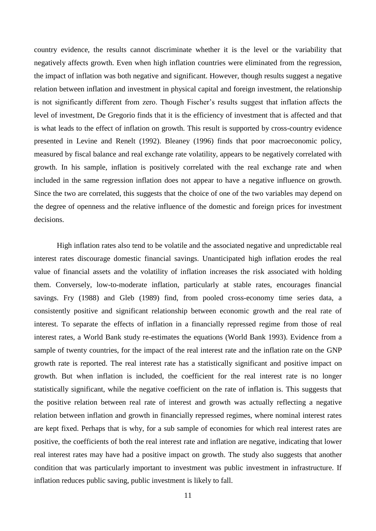country evidence, the results cannot discriminate whether it is the level or the variability that negatively affects growth. Even when high inflation countries were eliminated from the regression, the impact of inflation was both negative and significant. However, though results suggest a negative relation between inflation and investment in physical capital and foreign investment, the relationship is not significantly different from zero. Though Fischer's results suggest that inflation affects the level of investment, De Gregorio finds that it is the efficiency of investment that is affected and that is what leads to the effect of inflation on growth. This result is supported by cross-country evidence presented in Levine and Renelt (1992). Bleaney (1996) finds that poor macroeconomic policy, measured by fiscal balance and real exchange rate volatility, appears to be negatively correlated with growth. In his sample, inflation is positively correlated with the real exchange rate and when included in the same regression inflation does not appear to have a negative influence on growth. Since the two are correlated, this suggests that the choice of one of the two variables may depend on the degree of openness and the relative influence of the domestic and foreign prices for investment decisions.

High inflation rates also tend to be volatile and the associated negative and unpredictable real interest rates discourage domestic financial savings. Unanticipated high inflation erodes the real value of financial assets and the volatility of inflation increases the risk associated with holding them. Conversely, low-to-moderate inflation, particularly at stable rates, encourages financial savings. Fry (1988) and Gleb (1989) find, from pooled cross-economy time series data, a consistently positive and significant relationship between economic growth and the real rate of interest. To separate the effects of inflation in a financially repressed regime from those of real interest rates, a World Bank study re-estimates the equations (World Bank 1993). Evidence from a sample of twenty countries, for the impact of the real interest rate and the inflation rate on the GNP growth rate is reported. The real interest rate has a statistically significant and positive impact on growth. But when inflation is included, the coefficient for the real interest rate is no longer statistically significant, while the negative coefficient on the rate of inflation is. This suggests that the positive relation between real rate of interest and growth was actually reflecting a negative relation between inflation and growth in financially repressed regimes, where nominal interest rates are kept fixed. Perhaps that is why, for a sub sample of economies for which real interest rates are positive, the coefficients of both the real interest rate and inflation are negative, indicating that lower real interest rates may have had a positive impact on growth. The study also suggests that another condition that was particularly important to investment was public investment in infrastructure. If inflation reduces public saving, public investment is likely to fall.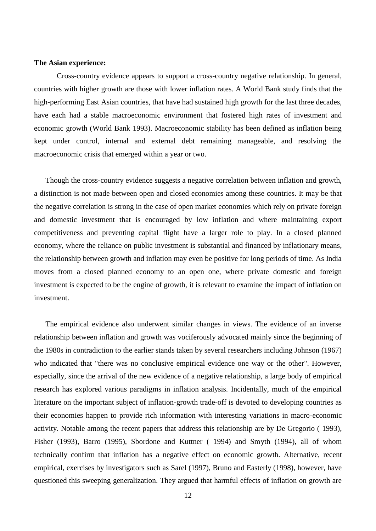## **The Asian experience:**

Cross-country evidence appears to support a cross-country negative relationship. In general, countries with higher growth are those with lower inflation rates. A World Bank study finds that the high-performing East Asian countries, that have had sustained high growth for the last three decades, have each had a stable macroeconomic environment that fostered high rates of investment and economic growth (World Bank 1993). Macroeconomic stability has been defined as inflation being kept under control, internal and external debt remaining manageable, and resolving the macroeconomic crisis that emerged within a year or two.

Though the cross-country evidence suggests a negative correlation between inflation and growth, a distinction is not made between open and closed economies among these countries. It may be that the negative correlation is strong in the case of open market economies which rely on private foreign and domestic investment that is encouraged by low inflation and where maintaining export competitiveness and preventing capital flight have a larger role to play. In a closed planned economy, where the reliance on public investment is substantial and financed by inflationary means, the relationship between growth and inflation may even be positive for long periods of time. As India moves from a closed planned economy to an open one, where private domestic and foreign investment is expected to be the engine of growth, it is relevant to examine the impact of inflation on investment.

The empirical evidence also underwent similar changes in views. The evidence of an inverse relationship between inflation and growth was vociferously advocated mainly since the beginning of the 1980s in contradiction to the earlier stands taken by several researchers including Johnson (1967) who indicated that "there was no conclusive empirical evidence one way or the other". However, especially, since the arrival of the new evidence of a negative relationship, a large body of empirical research has explored various paradigms in inflation analysis. Incidentally, much of the empirical literature on the important subject of inflation-growth trade-off is devoted to developing countries as their economies happen to provide rich information with interesting variations in macro-economic activity. Notable among the recent papers that address this relationship are by De Gregorio ( 1993), Fisher (1993), Barro (1995), Sbordone and Kuttner ( 1994) and Smyth (1994), all of whom technically confirm that inflation has a negative effect on economic growth. Alternative, recent empirical, exercises by investigators such as Sarel (1997), Bruno and Easterly (1998), however, have questioned this sweeping generalization. They argued that harmful effects of inflation on growth are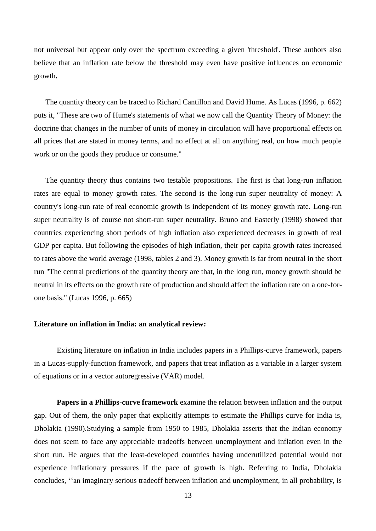not universal but appear only over the spectrum exceeding a given 'threshold'. These authors also believe that an inflation rate below the threshold may even have positive influences on economic growth**.**

The quantity theory can be traced to Richard Cantillon and David Hume. As Lucas (1996, p. 662) puts it, "These are two of Hume's statements of what we now call the Quantity Theory of Money: the doctrine that changes in the number of units of money in circulation will have proportional effects on all prices that are stated in money terms, and no effect at all on anything real, on how much people work or on the goods they produce or consume."

The quantity theory thus contains two testable propositions. The first is that long-run inflation rates are equal to money growth rates. The second is the long-run super neutrality of money: A country's long-run rate of real economic growth is independent of its money growth rate. Long-run super neutrality is of course not short-run super neutrality. Bruno and Easterly (1998) showed that countries experiencing short periods of high inflation also experienced decreases in growth of real GDP per capita. But following the episodes of high inflation, their per capita growth rates increased to rates above the world average (1998, tables 2 and 3). Money growth is far from neutral in the short run "The central predictions of the quantity theory are that, in the long run, money growth should be neutral in its effects on the growth rate of production and should affect the inflation rate on a one-forone basis." (Lucas 1996, p. 665)

## **Literature on inflation in India: an analytical review:**

Existing literature on inflation in India includes papers in a Phillips-curve framework, papers in a Lucas-supply-function framework, and papers that treat inflation as a variable in a larger system of equations or in a vector autoregressive (VAR) model.

**Papers in a Phillips-curve framework** examine the relation between inflation and the output gap. Out of them, the only paper that explicitly attempts to estimate the Phillips curve for India is, Dholakia (1990).Studying a sample from 1950 to 1985, Dholakia asserts that the Indian economy does not seem to face any appreciable tradeoffs between unemployment and inflation even in the short run. He argues that the least-developed countries having underutilized potential would not experience inflationary pressures if the pace of growth is high. Referring to India, Dholakia concludes, "an imaginary serious tradeoff between inflation and unemployment, in all probability, is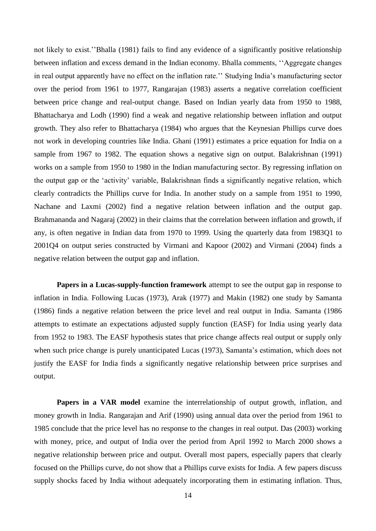not likely to exist.''Bhalla (1981) fails to find any evidence of a significantly positive relationship between inflation and excess demand in the Indian economy. Bhalla comments, "Aggregate changes" in real output apparently have no effect on the inflation rate.'' Studying India's manufacturing sector over the period from 1961 to 1977, Rangarajan (1983) asserts a negative correlation coefficient between price change and real-output change. Based on Indian yearly data from 1950 to 1988, Bhattacharya and Lodh (1990) find a weak and negative relationship between inflation and output growth. They also refer to Bhattacharya (1984) who argues that the Keynesian Phillips curve does not work in developing countries like India. Ghani (1991) estimates a price equation for India on a sample from 1967 to 1982. The equation shows a negative sign on output. Balakrishnan (1991) works on a sample from 1950 to 1980 in the Indian manufacturing sector. By regressing inflation on the output gap or the ‗activity' variable, Balakrishnan finds a significantly negative relation, which clearly contradicts the Phillips curve for India. In another study on a sample from 1951 to 1990, Nachane and Laxmi (2002) find a negative relation between inflation and the output gap. Brahmananda and Nagaraj (2002) in their claims that the correlation between inflation and growth, if any, is often negative in Indian data from 1970 to 1999. Using the quarterly data from 1983Q1 to 2001Q4 on output series constructed by Virmani and Kapoor (2002) and Virmani (2004) finds a negative relation between the output gap and inflation.

**Papers in a Lucas-supply-function framework** attempt to see the output gap in response to inflation in India. Following Lucas (1973), Arak (1977) and Makin (1982) one study by Samanta (1986) finds a negative relation between the price level and real output in India. Samanta (1986 attempts to estimate an expectations adjusted supply function (EASF) for India using yearly data from 1952 to 1983. The EASF hypothesis states that price change affects real output or supply only when such price change is purely unanticipated Lucas (1973), Samanta's estimation, which does not justify the EASF for India finds a significantly negative relationship between price surprises and output.

**Papers in a VAR model** examine the interrelationship of output growth, inflation, and money growth in India. Rangarajan and Arif (1990) using annual data over the period from 1961 to 1985 conclude that the price level has no response to the changes in real output. Das (2003) working with money, price, and output of India over the period from April 1992 to March 2000 shows a negative relationship between price and output. Overall most papers, especially papers that clearly focused on the Phillips curve, do not show that a Phillips curve exists for India. A few papers discuss supply shocks faced by India without adequately incorporating them in estimating inflation. Thus,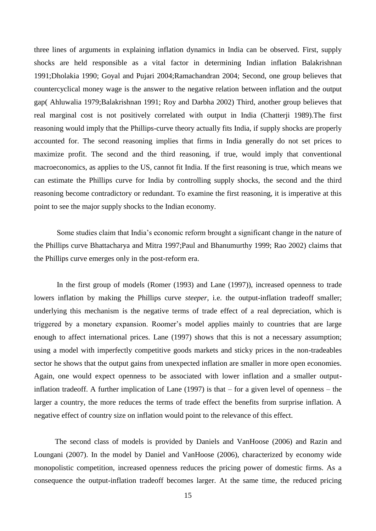three lines of arguments in explaining inflation dynamics in India can be observed. First, supply shocks are held responsible as a vital factor in determining Indian inflation Balakrishnan 1991;Dholakia 1990; Goyal and Pujari 2004;Ramachandran 2004; Second, one group believes that countercyclical money wage is the answer to the negative relation between inflation and the output gap( Ahluwalia 1979;Balakrishnan 1991; Roy and Darbha 2002) Third, another group believes that real marginal cost is not positively correlated with output in India (Chatterji 1989).The first reasoning would imply that the Phillips-curve theory actually fits India, if supply shocks are properly accounted for. The second reasoning implies that firms in India generally do not set prices to maximize profit. The second and the third reasoning, if true, would imply that conventional macroeconomics, as applies to the US, cannot fit India. If the first reasoning is true, which means we can estimate the Phillips curve for India by controlling supply shocks, the second and the third reasoning become contradictory or redundant. To examine the first reasoning, it is imperative at this point to see the major supply shocks to the Indian economy.

Some studies claim that India's economic reform brought a significant change in the nature of the Phillips curve Bhattacharya and Mitra 1997;Paul and Bhanumurthy 1999; Rao 2002) claims that the Phillips curve emerges only in the post-reform era.

In the first group of models (Romer (1993) and Lane (1997)), increased openness to trade lowers inflation by making the Phillips curve *steeper*, i.e. the output-inflation tradeoff smaller; underlying this mechanism is the negative terms of trade effect of a real depreciation, which is triggered by a monetary expansion. Roomer's model applies mainly to countries that are large enough to affect international prices. Lane (1997) shows that this is not a necessary assumption; using a model with imperfectly competitive goods markets and sticky prices in the non-tradeables sector he shows that the output gains from unexpected inflation are smaller in more open economies. Again, one would expect openness to be associated with lower inflation and a smaller outputinflation tradeoff. A further implication of Lane (1997) is that – for a given level of openness – the larger a country, the more reduces the terms of trade effect the benefits from surprise inflation. A negative effect of country size on inflation would point to the relevance of this effect.

 The second class of models is provided by Daniels and VanHoose (2006) and Razin and Loungani (2007). In the model by Daniel and VanHoose (2006), characterized by economy wide monopolistic competition, increased openness reduces the pricing power of domestic firms. As a consequence the output-inflation tradeoff becomes larger. At the same time, the reduced pricing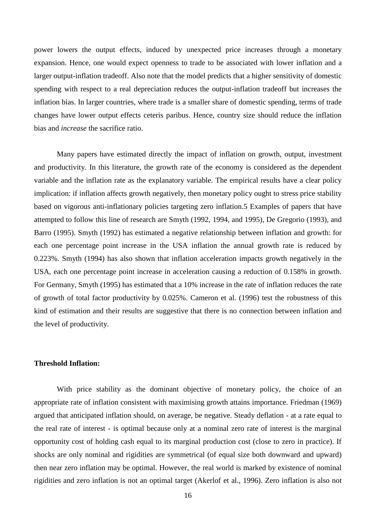power lowers the output effects, induced by unexpected price increases through a monetary expansion. Hence, one would expect openness to trade to be associated with lower inflation and a larger output-inflation tradeoff. Also note that the model predicts that a higher sensitivity of domestic spending with respect to a real depreciation reduces the output-inflation tradeoff but increases the inflation bias. In larger countries, where trade is a smaller share of domestic spending, terms of trade changes have lower output effects ceteris paribus. Hence, country size should reduce the inflation bias and *increase* the sacrifice ratio.

Many papers have estimated directly the impact of inflation on growth, output, investment and productivity. In this literature, the growth rate of the economy is considered as the dependent variable and the inflation rate as the explanatory variable. The empirical results have a clear policy implication: if inflation affects growth negatively, then monetary policy ought to stress price stability based on vigorous anti-inflationary policies targeting zero inflation.5 Examples of papers that have attempted to follow this line of research are Smyth (1992, 1994, and 1995), De Gregorio (1993), and Barro (1995). Smyth (1992) has estimated a negative relationship between inflation and growth: for each one percentage point increase in the USA inflation the annual growth rate is reduced by 0.223%. Smyth (1994) has also shown that inflation acceleration impacts growth negatively in the USA, each one percentage point increase in acceleration causing a reduction of 0.158% in growth. For Germany, Smyth (1995) has estimated that a 10% increase in the rate of inflation reduces the rate of growth of total factor productivity by 0.025%. Cameron et al. (1996) test the robustness of this kind of estimation and their results are suggestive that there is no connection between inflation and the level of productivity.

## **Threshold Inflation:**

With price stability as the dominant objective of monetary policy, the choice of an appropriate rate of inflation consistent with maximising growth attains importance. Friedman (1969) argued that anticipated inflation should, on average, be negative. Steady deflation - at a rate equal to the real rate of interest - is optimal because only at a nominal zero rate of interest is the marginal opportunity cost of holding cash equal to its marginal production cost (close to zero in practice). If shocks are only nominal and rigidities are symmetrical (of equal size both downward and upward) then near zero inflation may be optimal. However, the real world is marked by existence of nominal rigidities and zero inflation is not an optimal target (Akerlof et al., 1996). Zero inflation is also not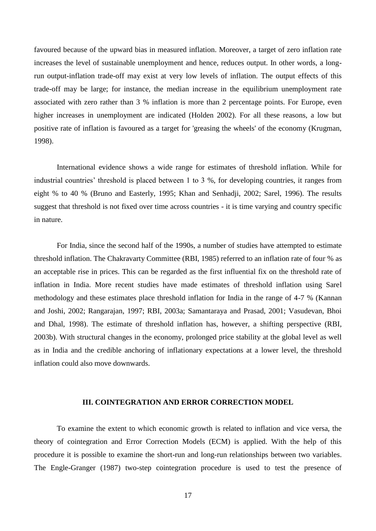favoured because of the upward bias in measured inflation. Moreover, a target of zero inflation rate increases the level of sustainable unemployment and hence, reduces output. In other words, a longrun output-inflation trade-off may exist at very low levels of inflation. The output effects of this trade-off may be large; for instance, the median increase in the equilibrium unemployment rate associated with zero rather than 3 % inflation is more than 2 percentage points. For Europe, even higher increases in unemployment are indicated (Holden 2002). For all these reasons, a low but positive rate of inflation is favoured as a target for 'greasing the wheels' of the economy (Krugman, 1998).

International evidence shows a wide range for estimates of threshold inflation. While for industrial countries' threshold is placed between 1 to 3 %, for developing countries, it ranges from eight % to 40 % (Bruno and Easterly, 1995; Khan and Senhadji, 2002; Sarel, 1996). The results suggest that threshold is not fixed over time across countries - it is time varying and country specific in nature.

For India, since the second half of the 1990s, a number of studies have attempted to estimate threshold inflation. The Chakravarty Committee (RBI, 1985) referred to an inflation rate of four % as an acceptable rise in prices. This can be regarded as the first influential fix on the threshold rate of inflation in India. More recent studies have made estimates of threshold inflation using Sarel methodology and these estimates place threshold inflation for India in the range of 4-7 % (Kannan and Joshi, 2002; Rangarajan, 1997; RBI, 2003a; Samantaraya and Prasad, 2001; Vasudevan, Bhoi and Dhal, 1998). The estimate of threshold inflation has, however, a shifting perspective (RBI, 2003b). With structural changes in the economy, prolonged price stability at the global level as well as in India and the credible anchoring of inflationary expectations at a lower level, the threshold inflation could also move downwards.

#### **III. COINTEGRATION AND ERROR CORRECTION MODEL**

To examine the extent to which economic growth is related to inflation and vice versa, the theory of cointegration and Error Correction Models (ECM) is applied. With the help of this procedure it is possible to examine the short-run and long-run relationships between two variables. The Engle-Granger (1987) two-step cointegration procedure is used to test the presence of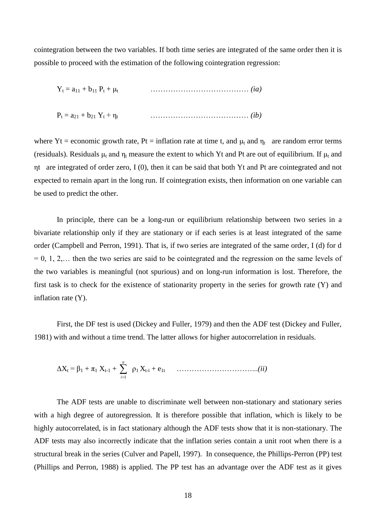cointegration between the two variables. If both time series are integrated of the same order then it is possible to proceed with the estimation of the following cointegration regression:

 $Y_t = a_{11} + b_{11} P_t + \mu_t$ ………………………………… *(ia)*

P<sup>t</sup> = a<sup>21</sup> + b<sup>21</sup> Y<sup>t</sup> + η<sup>t</sup> ………………………………… *(ib)*

where Yt = economic growth rate, Pt = inflation rate at time t, and  $\mu_t$  and  $\eta_t$  are random error terms (residuals). Residuals  $\mu_t$  and  $\eta_t$  measure the extent to which Yt and Pt are out of equilibrium. If  $\mu_t$  and ηt are integrated of order zero, I (0), then it can be said that both Yt and Pt are cointegrated and not expected to remain apart in the long run. If cointegration exists, then information on one variable can be used to predict the other.

In principle, there can be a long-run or equilibrium relationship between two series in a bivariate relationship only if they are stationary or if each series is at least integrated of the same order (Campbell and Perron, 1991). That is, if two series are integrated of the same order, I (d) for d  $= 0, 1, 2, \ldots$  then the two series are said to be cointegrated and the regression on the same levels of the two variables is meaningful (not spurious) and on long-run information is lost. Therefore, the first task is to check for the existence of stationarity property in the series for growth rate (Y) and inflation rate (Y).

First, the DF test is used (Dickey and Fuller, 1979) and then the ADF test (Dickey and Fuller, 1981) with and without a time trend. The latter allows for higher autocorrelation in residuals.

ΔX<sup>t</sup> = β<sup>1</sup> + π<sup>1</sup> Xt-1 + *n i* 1 ρ1 Xt-i + e1t …………………………...*(ii)*

The ADF tests are unable to discriminate well between non-stationary and stationary series with a high degree of autoregression. It is therefore possible that inflation, which is likely to be highly autocorrelated, is in fact stationary although the ADF tests show that it is non-stationary. The ADF tests may also incorrectly indicate that the inflation series contain a unit root when there is a structural break in the series (Culver and Papell, 1997). In consequence, the Phillips-Perron (PP) test (Phillips and Perron, 1988) is applied. The PP test has an advantage over the ADF test as it gives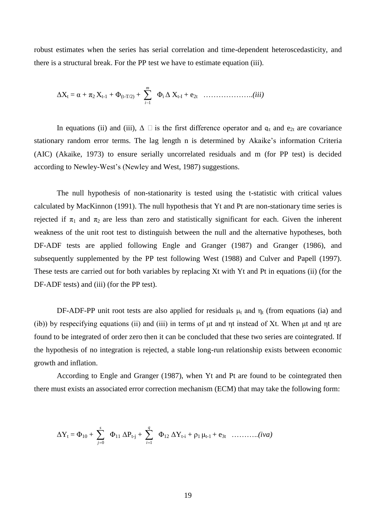robust estimates when the series has serial correlation and time-dependent heteroscedasticity, and there is a structural break. For the PP test we have to estimate equation (iii).

$$
\Delta X_t = \alpha + \pi_2 X_{t-1} + \Phi_{(t-T/2)} + \sum_{i=1}^m \Phi_i \Delta X_{t-1} + e_{2t} \dots \dots \dots \dots \dots \dots (iii)
$$

In equations (ii) and (iii),  $\Delta \Box$  is the first difference operator and  $q_t$  and  $e_{2t}$  are covariance stationary random error terms. The lag length n is determined by Akaike's information Criteria (AIC) (Akaike, 1973) to ensure serially uncorrelated residuals and m (for PP test) is decided according to Newley-West's (Newley and West, 1987) suggestions.

The null hypothesis of non-stationarity is tested using the t-statistic with critical values calculated by MacKinnon (1991). The null hypothesis that Yt and Pt are non-stationary time series is rejected if  $\pi_1$  and  $\pi_2$  are less than zero and statistically significant for each. Given the inherent weakness of the unit root test to distinguish between the null and the alternative hypotheses, both DF-ADF tests are applied following Engle and Granger (1987) and Granger (1986), and subsequently supplemented by the PP test following West (1988) and Culver and Papell (1997). These tests are carried out for both variables by replacing Xt with Yt and Pt in equations (ii) (for the DF-ADF tests) and (iii) (for the PP test).

DF-ADF-PP unit root tests are also applied for residuals  $\mu_t$  and  $\eta_t$  (from equations (ia) and (ib)) by respecifying equations (ii) and (iii) in terms of μt and ηt instead of Xt. When μt and ηt are found to be integrated of order zero then it can be concluded that these two series are cointegrated. If the hypothesis of no integration is rejected, a stable long-run relationship exists between economic growth and inflation.

According to Engle and Granger (1987), when Yt and Pt are found to be cointegrated then there must exists an associated error correction mechanism (ECM) that may take the following form:

$$
\Delta Y_t = \Phi_{10} + \sum_{j=0}^{s} \Phi_{11} \, \Delta P_{t-j} + \sum_{i=1}^{q} \Phi_{12} \, \Delta Y_{t-i} + \rho_1 \, \mu_{t-1} + e_{3t} \quad \ldots \ldots \ldots \ldots (iva)
$$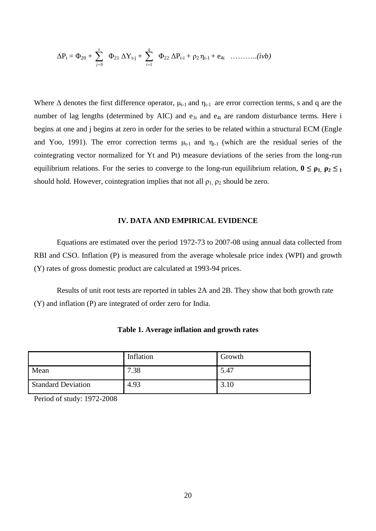$$
\Delta P_t = \Phi_{20} + \sum_{j=0}^{s} \Phi_{21} \, \Delta Y_{t-j} + \sum_{i=1}^{q} \Phi_{22} \, \Delta P_{t-i} + \rho_2 \, \eta_{t-1} + e_{4t} \quad \ldots \ldots \ldots \ldots (ivb)
$$

Where  $\Delta$  denotes the first difference operator,  $\mu_{t-1}$  and  $\eta_{t-1}$  are error correction terms, s and q are the number of lag lengths (determined by AIC) and  $e_{3t}$  and  $e_{4t}$  are random disturbance terms. Here i begins at one and j begins at zero in order for the series to be related within a structural ECM (Engle and Yoo, 1991). The error correction terms  $\mu_{t-1}$  and  $\eta_{t-1}$  (which are the residual series of the cointegrating vector normalized for Yt and Pt) measure deviations of the series from the long-run equilibrium relations. For the series to converge to the long-run equilibrium relation,  $0 \leq \rho_1$ ,  $\rho_2 \leq_1$ should hold. However, cointegration implies that not all  $\rho_1$ ,  $\rho_2$  should be zero.

## **IV. DATA AND EMPIRICAL EVIDENCE**

Equations are estimated over the period 1972-73 to 2007-08 using annual data collected from RBI and CSO. Inflation (P) is measured from the average wholesale price index (WPI) and growth (Y) rates of gross domestic product are calculated at 1993-94 prices.

Results of unit root tests are reported in tables 2A and 2B. They show that both growth rate (Y) and inflation (P) are integrated of order zero for India.

|                           | Inflation | Growth |
|---------------------------|-----------|--------|
| Mean                      | 7.38      | 5.47   |
| <b>Standard Deviation</b> | 4.93      | 3.10   |

**Table 1. Average inflation and growth rates**

Period of study: 1972-2008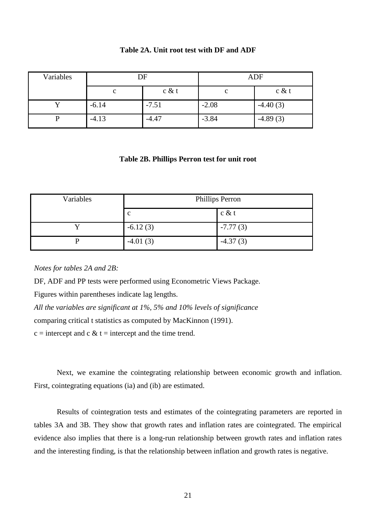| Variables | DF      |         | <b>ADF</b> |            |
|-----------|---------|---------|------------|------------|
|           | c       | c & t   | с          | c & t      |
|           | $-6.14$ | $-7.51$ | $-2.08$    | $-4.40(3)$ |
|           | $-4.13$ | $-4.47$ | $-3.84$    | $-4.89(3)$ |

## **Table 2A. Unit root test with DF and ADF**

## **Table 2B. Phillips Perron test for unit root**

| Variables | <b>Phillips Perron</b> |            |  |
|-----------|------------------------|------------|--|
|           | $\mathbf c$            | $c \& t$   |  |
|           | $-6.12(3)$             | $-7.77(3)$ |  |
|           | $-4.01(3)$             | $-4.37(3)$ |  |

*Notes for tables 2A and 2B:*

DF, ADF and PP tests were performed using Econometric Views Package.

Figures within parentheses indicate lag lengths.

*All the variables are significant at 1%, 5% and 10% levels of significance*

comparing critical t statistics as computed by MacKinnon (1991).

 $c =$  intercept and c  $\&$  t = intercept and the time trend.

Next, we examine the cointegrating relationship between economic growth and inflation. First, cointegrating equations (ia) and (ib) are estimated.

Results of cointegration tests and estimates of the cointegrating parameters are reported in tables 3A and 3B. They show that growth rates and inflation rates are cointegrated. The empirical evidence also implies that there is a long-run relationship between growth rates and inflation rates and the interesting finding, is that the relationship between inflation and growth rates is negative.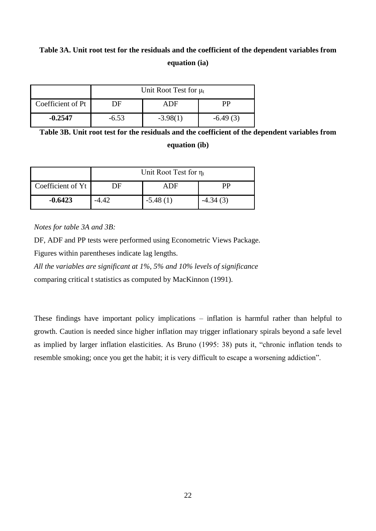# **Table 3A. Unit root test for the residuals and the coefficient of the dependent variables from equation (ia)**

|                   | Unit Root Test for $\mu_t$ |            |            |  |
|-------------------|----------------------------|------------|------------|--|
| Coefficient of Pt | DE                         | ADF        | РP         |  |
| $-0.2547$         | $-6.53$                    | $-3.98(1)$ | $-6.49(3)$ |  |

**Table 3B. Unit root test for the residuals and the coefficient of the dependent variables from equation (ib)**

|                   | Unit Root Test for $\eta_t$ |            |            |  |
|-------------------|-----------------------------|------------|------------|--|
| Coefficient of Yt | DE                          | ADF        | <b>PP</b>  |  |
| $-0.6423$         | $-4.42$                     | $-5.48(1)$ | $-4.34(3)$ |  |

*Notes for table 3A and 3B:*

DF, ADF and PP tests were performed using Econometric Views Package.

Figures within parentheses indicate lag lengths.

*All the variables are significant at 1%, 5% and 10% levels of significance* comparing critical t statistics as computed by MacKinnon (1991).

These findings have important policy implications – inflation is harmful rather than helpful to growth. Caution is needed since higher inflation may trigger inflationary spirals beyond a safe level as implied by larger inflation elasticities. As Bruno (1995: 38) puts it, "chronic inflation tends to resemble smoking; once you get the habit; it is very difficult to escape a worsening addiction".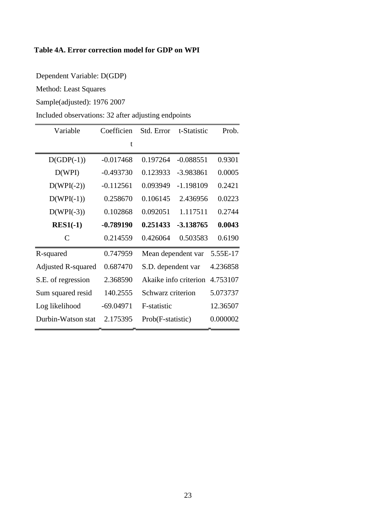## **Table 4A. Error correction model for GDP on WPI**

Dependent Variable: D(GDP)

Method: Least Squares

Sample(adjusted): 1976 2007

Included observations: 32 after adjusting endpoints

| Variable                  | Coefficien  | Std. Error            | t-Statistic | Prob.    |
|---------------------------|-------------|-----------------------|-------------|----------|
|                           | t           |                       |             |          |
| $D(GDP(-1))$              | $-0.017468$ | 0.197264              | $-0.088551$ | 0.9301   |
| D(WPI)                    | $-0.493730$ | 0.123933              | $-3.983861$ | 0.0005   |
| $D(WPI(-2))$              | $-0.112561$ | 0.093949              | $-1.198109$ | 0.2421   |
| $D(WPI(-1))$              | 0.258670    | 0.106145              | 2.436956    | 0.0223   |
| $D(WPI(-3))$              | 0.102868    | 0.092051              | 1.117511    | 0.2744   |
| $RES1(-1)$                | $-0.789190$ | 0.251433              | -3.138765   | 0.0043   |
| C                         | 0.214559    | 0.426064              | 0.503583    | 0.6190   |
| R-squared                 | 0.747959    | Mean dependent var    |             | 5.55E-17 |
| <b>Adjusted R-squared</b> | 0.687470    | S.D. dependent var    |             | 4.236858 |
| S.E. of regression        | 2.368590    | Akaike info criterion |             | 4.753107 |
| Sum squared resid         | 140.2555    | Schwarz criterion     |             | 5.073737 |
| Log likelihood            | $-69.04971$ | F-statistic           |             | 12.36507 |
| Durbin-Watson stat        | 2.175395    | Prob(F-statistic)     |             | 0.000002 |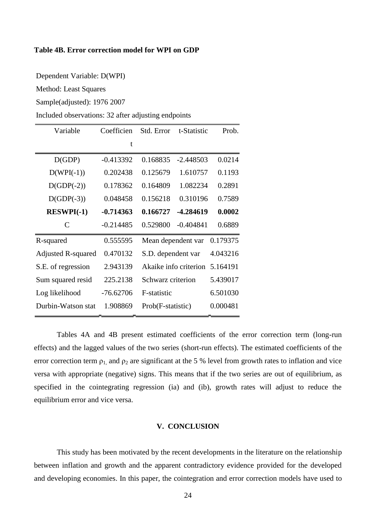## **Table 4B. Error correction model for WPI on GDP**

Dependent Variable: D(WPI)

Method: Least Squares

Sample(adjusted): 1976 2007

Included observations: 32 after adjusting endpoints

| Variable           | Coefficien  | Std. Error            | t-Statistic | Prob.    |
|--------------------|-------------|-----------------------|-------------|----------|
|                    | t           |                       |             |          |
| D(GDP)             | $-0.413392$ | 0.168835              | $-2.448503$ | 0.0214   |
| $D(WPI(-1))$       | 0.202438    | 0.125679              | 1.610757    | 0.1193   |
| $D(GDP(-2))$       | 0.178362    | 0.164809              | 1.082234    | 0.2891   |
| $D(GDP(-3))$       | 0.048458    | 0.156218              | 0.310196    | 0.7589   |
| <b>RESWPI(-1)</b>  | $-0.714363$ | 0.166727              | -4.284619   | 0.0002   |
| C                  | $-0.214485$ | 0.529800              | $-0.404841$ | 0.6889   |
| R-squared          | 0.555595    | Mean dependent var    |             | 0.179375 |
| Adjusted R-squared | 0.470132    | S.D. dependent var    |             | 4.043216 |
| S.E. of regression | 2.943139    | Akaike info criterion |             | 5.164191 |
| Sum squared resid  | 225.2138    | Schwarz criterion     |             | 5.439017 |
| Log likelihood     | $-76.62706$ | F-statistic           |             | 6.501030 |
| Durbin-Watson stat | 1.908869    | Prob(F-statistic)     |             | 0.000481 |

Tables 4A and 4B present estimated coefficients of the error correction term (long-run effects) and the lagged values of the two series (short-run effects). The estimated coefficients of the error correction term  $\rho_1$ , and  $\rho_2$  are significant at the 5 % level from growth rates to inflation and vice versa with appropriate (negative) signs. This means that if the two series are out of equilibrium, as specified in the cointegrating regression (ia) and (ib), growth rates will adjust to reduce the equilibrium error and vice versa.

## **V. CONCLUSION**

This study has been motivated by the recent developments in the literature on the relationship between inflation and growth and the apparent contradictory evidence provided for the developed and developing economies. In this paper, the cointegration and error correction models have used to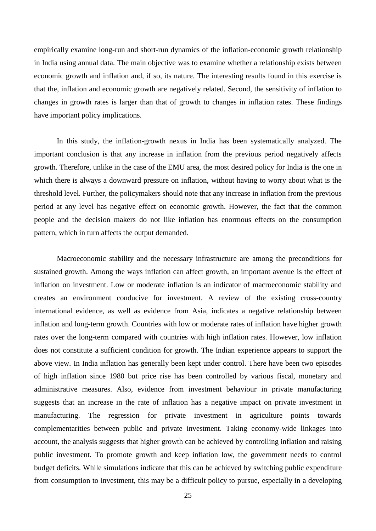empirically examine long-run and short-run dynamics of the inflation-economic growth relationship in India using annual data. The main objective was to examine whether a relationship exists between economic growth and inflation and, if so, its nature. The interesting results found in this exercise is that the, inflation and economic growth are negatively related. Second, the sensitivity of inflation to changes in growth rates is larger than that of growth to changes in inflation rates. These findings have important policy implications.

In this study, the inflation-growth nexus in India has been systematically analyzed. The important conclusion is that any increase in inflation from the previous period negatively affects growth. Therefore, unlike in the case of the EMU area, the most desired policy for India is the one in which there is always a downward pressure on inflation, without having to worry about what is the threshold level. Further, the policymakers should note that any increase in inflation from the previous period at any level has negative effect on economic growth. However, the fact that the common people and the decision makers do not like inflation has enormous effects on the consumption pattern, which in turn affects the output demanded.

Macroeconomic stability and the necessary infrastructure are among the preconditions for sustained growth. Among the ways inflation can affect growth, an important avenue is the effect of inflation on investment. Low or moderate inflation is an indicator of macroeconomic stability and creates an environment conducive for investment. A review of the existing cross-country international evidence, as well as evidence from Asia, indicates a negative relationship between inflation and long-term growth. Countries with low or moderate rates of inflation have higher growth rates over the long-term compared with countries with high inflation rates. However, low inflation does not constitute a sufficient condition for growth. The Indian experience appears to support the above view. In India inflation has generally been kept under control. There have been two episodes of high inflation since 1980 but price rise has been controlled by various fiscal, monetary and administrative measures. Also, evidence from investment behaviour in private manufacturing suggests that an increase in the rate of inflation has a negative impact on private investment in manufacturing. The regression for private investment in agriculture points towards complementarities between public and private investment. Taking economy-wide linkages into account, the analysis suggests that higher growth can be achieved by controlling inflation and raising public investment. To promote growth and keep inflation low, the government needs to control budget deficits. While simulations indicate that this can be achieved by switching public expenditure from consumption to investment, this may be a difficult policy to pursue, especially in a developing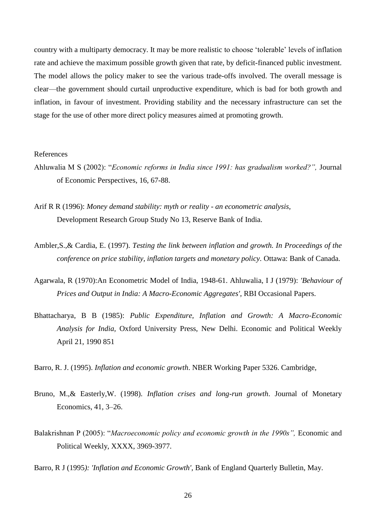country with a multiparty democracy. It may be more realistic to choose 'tolerable' levels of inflation rate and achieve the maximum possible growth given that rate, by deficit-financed public investment. The model allows the policy maker to see the various trade-offs involved. The overall message is clear—the government should curtail unproductive expenditure, which is bad for both growth and inflation, in favour of investment. Providing stability and the necessary infrastructure can set the stage for the use of other more direct policy measures aimed at promoting growth.

#### References

- Ahluwalia M S (2002): "*Economic reforms in India since 1991: has gradualism worked?"*, Journal of Economic Perspectives, 16, 67-88.
- Arif R R (1996): *Money demand stability: myth or reality - an econometric analysis,* Development Research Group Study No 13, Reserve Bank of India.
- Ambler,S.,& Cardia, E. (1997). *Testing the link between inflation and growth. In Proceedings of the conference on price stability, inflation targets and monetary policy.* Ottawa: Bank of Canada.
- Agarwala, R (1970):An Econometric Model of India, 1948-61. Ahluwalia, I J (1979): *'Behaviour of Prices and Output in India: A Macro-Economic Aggregates'*, RBI Occasional Papers.
- Bhattacharya, B B (1985): *Public Expenditure, Inflation and Growth: A Macro-Economic Analysis for India,* Oxford University Press, New Delhi. Economic and Political Weekly April 21, 1990 851
- Barro, R. J. (1995). *Inflation and economic growth*. NBER Working Paper 5326. Cambridge,
- Bruno, M.,& Easterly,W. (1998). *Inflation crises and long-run growth*. Journal of Monetary Economics, 41, 3–26.
- Balakrishnan P (2005): "*Macroeconomic policy and economic growth in the 1990s*", Economic and Political Weekly, XXXX, 3969-3977.

Barro, R J (1995*): 'Inflation and Economic Growth',* Bank of England Quarterly Bulletin, May.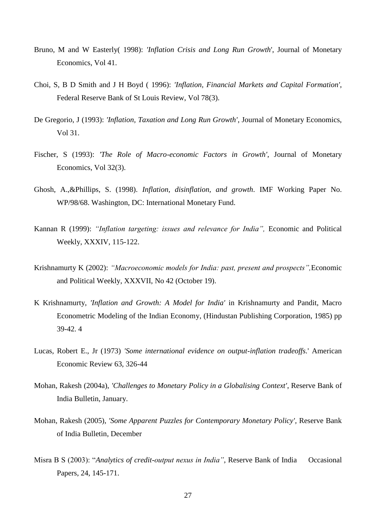- Bruno, M and W Easterly( 1998): *'Inflation Crisis and Long Run Growth*', Journal of Monetary Economics, Vol 41.
- Choi, S, B D Smith and J H Boyd ( 1996): *'Inflation, Financial Markets and Capital Formation'*, Federal Reserve Bank of St Louis Review, Vol 78(3).
- De Gregorio, J (1993): *'Inflation, Taxation and Long Run Growth'*, Journal of Monetary Economics, Vol 31.
- Fischer, S (1993): *'The Role of Macro-economic Factors in Growth'*, Journal of Monetary Economics, Vol 32(3).
- Ghosh, A.,&Phillips, S. (1998). *Inflation, disinflation, and growth*. IMF Working Paper No. WP/98/68. Washington, DC: International Monetary Fund.
- Kannan R (1999): *"Inflation targeting: issues and relevance for India",* Economic and Political Weekly, XXXIV, 115-122.
- Krishnamurty K (2002): *"Macroeconomic models for India: past, present and prospects",*Economic and Political Weekly, XXXVII, No 42 (October 19).
- K Krishnamurty, *'Inflation and Growth: A Model for India'* in Krishnamurty and Pandit, Macro Econometric Modeling of the Indian Economy, (Hindustan Publishing Corporation, 1985) pp 39-42. 4
- Lucas, Robert E., Jr (1973) *'Some international evidence on output-inflation tradeoffs.*' American Economic Review 63, 326-44
- Mohan, Rakesh (2004a), *'Challenges to Monetary Policy in a Globalising Context'*, Reserve Bank of India Bulletin, January.
- Mohan, Rakesh (2005), *'Some Apparent Puzzles for Contemporary Monetary Policy',* Reserve Bank of India Bulletin, December
- Misra B S (2003): "Analytics of credit-output nexus in *India*", Reserve Bank of India Occasional Papers, 24, 145-171.